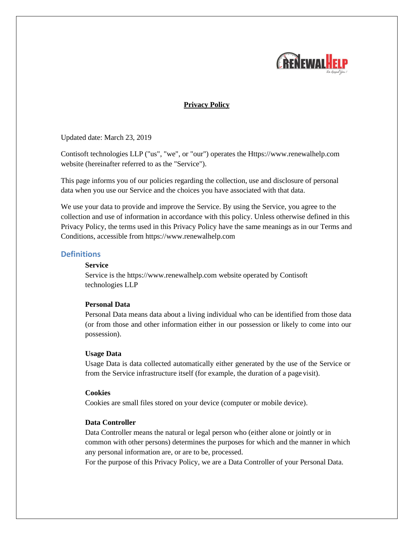

### **Privacy Policy**

Updated date: March 23, 2019

Contisoft technologies LLP ("us", "we", or "our") operates the Https:/[/www.renewalhelp.com](http://www.renewalhelp.com/)  website (hereinafter referred to as the "Service").

This page informs you of our policies regarding the collection, use and disclosure of personal data when you use our Service and the choices you have associated with that data.

We use your data to provide and improve the Service. By using the Service, you agree to the collection and use of information in accordance with this policy. Unless otherwise defined in this Privacy Policy, the terms used in this Privacy Policy have the same meanings as in our Terms and Conditions, accessible from https:/[/www.renewalhelp.com](http://www.renewalhelp.com/)

### **Definitions**

#### **Service**

Service is the https:/[/www.renewalhelp.com w](http://www.renewalhelp.com/)ebsite operated by Contisoft technologies LLP

### **Personal Data**

Personal Data means data about a living individual who can be identified from those data (or from those and other information either in our possession or likely to come into our possession).

#### **Usage Data**

Usage Data is data collected automatically either generated by the use of the Service or from the Service infrastructure itself (for example, the duration of a pagevisit).

#### **Cookies**

Cookies are small files stored on your device (computer or mobile device).

#### **Data Controller**

Data Controller means the natural or legal person who (either alone or jointly or in common with other persons) determines the purposes for which and the manner in which any personal information are, or are to be, processed.

For the purpose of this Privacy Policy, we are a Data Controller of your Personal Data.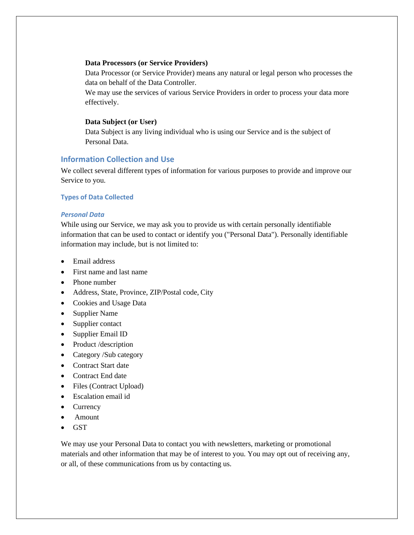### **Data Processors (or Service Providers)**

Data Processor (or Service Provider) means any natural or legal person who processes the data on behalf of the Data Controller.

We may use the services of various Service Providers in order to process your data more effectively.

### **Data Subject (or User)**

Data Subject is any living individual who is using our Service and is the subject of Personal Data.

### **Information Collection and Use**

We collect several different types of information for various purposes to provide and improve our Service to you.

### **Types of Data Collected**

#### *Personal Data*

While using our Service, we may ask you to provide us with certain personally identifiable information that can be used to contact or identify you ("Personal Data"). Personally identifiable information may include, but is not limited to:

- Email address
- First name and last name
- Phone number
- Address, State, Province, ZIP/Postal code, City
- Cookies and Usage Data
- Supplier Name
- Supplier contact
- Supplier Email ID
- Product /description
- Category /Sub category
- Contract Start date
- Contract End date
- Files (Contract Upload)
- Escalation email id
- Currency
- Amount
- GST

We may use your Personal Data to contact you with newsletters, marketing or promotional materials and other information that may be of interest to you. You may opt out of receiving any, or all, of these communications from us by contacting us.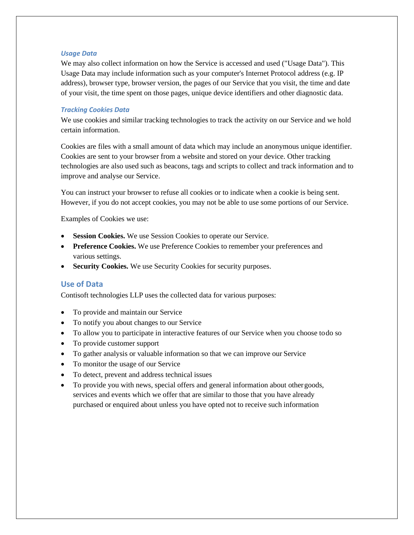#### *Usage Data*

We may also collect information on how the Service is accessed and used ("Usage Data"). This Usage Data may include information such as your computer's Internet Protocol address (e.g. IP address), browser type, browser version, the pages of our Service that you visit, the time and date of your visit, the time spent on those pages, unique device identifiers and other diagnostic data.

#### *Tracking Cookies Data*

We use cookies and similar tracking technologies to track the activity on our Service and we hold certain information.

Cookies are files with a small amount of data which may include an anonymous unique identifier. Cookies are sent to your browser from a website and stored on your device. Other tracking technologies are also used such as beacons, tags and scripts to collect and track information and to improve and analyse our Service.

You can instruct your browser to refuse all cookies or to indicate when a cookie is being sent. However, if you do not accept cookies, you may not be able to use some portions of our Service.

Examples of Cookies we use:

- **Session Cookies.** We use Session Cookies to operate our Service.
- **Preference Cookies.** We use Preference Cookies to remember your preferences and various settings.
- **Security Cookies.** We use Security Cookies for security purposes.

### **Use of Data**

Contisoft technologies LLP uses the collected data for various purposes:

- To provide and maintain our Service
- To notify you about changes to our Service
- To allow you to participate in interactive features of our Service when you choose todo so
- To provide customer support
- To gather analysis or valuable information so that we can improve our Service
- To monitor the usage of our Service
- To detect, prevent and address technical issues
- To provide you with news, special offers and general information about othergoods, services and events which we offer that are similar to those that you have already purchased or enquired about unless you have opted not to receive such information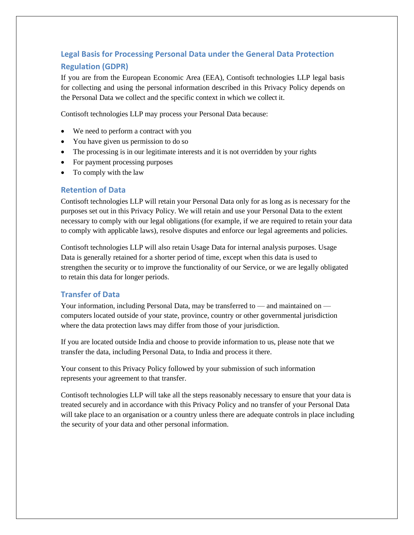# **Legal Basis for Processing Personal Data under the General Data Protection Regulation (GDPR)**

If you are from the European Economic Area (EEA), Contisoft technologies LLP legal basis for collecting and using the personal information described in this Privacy Policy depends on the Personal Data we collect and the specific context in which we collect it.

Contisoft technologies LLP may process your Personal Data because:

- We need to perform a contract with you
- You have given us permission to do so
- The processing is in our legitimate interests and it is not overridden by your rights
- For payment processing purposes
- To comply with the law

### **Retention of Data**

Contisoft technologies LLP will retain your Personal Data only for as long as is necessary for the purposes set out in this Privacy Policy. We will retain and use your Personal Data to the extent necessary to comply with our legal obligations (for example, if we are required to retain your data to comply with applicable laws), resolve disputes and enforce our legal agreements and policies.

Contisoft technologies LLP will also retain Usage Data for internal analysis purposes. Usage Data is generally retained for a shorter period of time, except when this data is used to strengthen the security or to improve the functionality of our Service, or we are legally obligated to retain this data for longer periods.

### **Transfer of Data**

Your information, including Personal Data, may be transferred to — and maintained on computers located outside of your state, province, country or other governmental jurisdiction where the data protection laws may differ from those of your jurisdiction.

If you are located outside India and choose to provide information to us, please note that we transfer the data, including Personal Data, to India and process it there.

Your consent to this Privacy Policy followed by your submission of such information represents your agreement to that transfer.

Contisoft technologies LLP will take all the steps reasonably necessary to ensure that your data is treated securely and in accordance with this Privacy Policy and no transfer of your Personal Data will take place to an organisation or a country unless there are adequate controls in place including the security of your data and other personal information.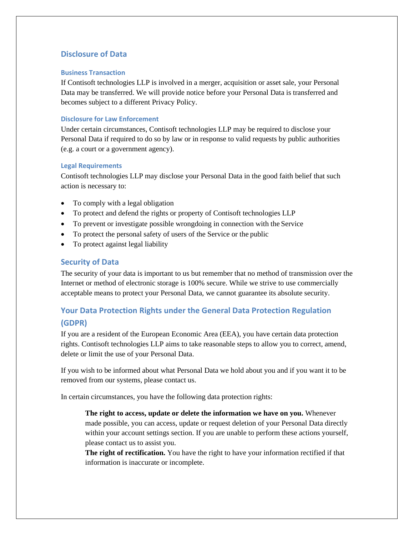# **Disclosure of Data**

### **Business Transaction**

If Contisoft technologies LLP is involved in a merger, acquisition or asset sale, your Personal Data may be transferred. We will provide notice before your Personal Data is transferred and becomes subject to a different Privacy Policy.

### **Disclosure for Law Enforcement**

Under certain circumstances, Contisoft technologies LLP may be required to disclose your Personal Data if required to do so by law or in response to valid requests by public authorities (e.g. a court or a government agency).

#### **Legal Requirements**

Contisoft technologies LLP may disclose your Personal Data in the good faith belief that such action is necessary to:

- To comply with a legal obligation
- To protect and defend the rights or property of Contisoft technologies LLP
- To prevent or investigate possible wrongdoing in connection with the Service
- To protect the personal safety of users of the Service or the public
- To protect against legal liability

## **Security of Data**

The security of your data is important to us but remember that no method of transmission over the Internet or method of electronic storage is 100% secure. While we strive to use commercially acceptable means to protect your Personal Data, we cannot guarantee its absolute security.

# **Your Data Protection Rights under the General Data Protection Regulation (GDPR)**

If you are a resident of the European Economic Area (EEA), you have certain data protection rights. Contisoft technologies LLP aims to take reasonable steps to allow you to correct, amend, delete or limit the use of your Personal Data.

If you wish to be informed about what Personal Data we hold about you and if you want it to be removed from our systems, please contact us.

In certain circumstances, you have the following data protection rights:

**The right to access, update or delete the information we have on you.** Whenever made possible, you can access, update or request deletion of your Personal Data directly within your account settings section. If you are unable to perform these actions yourself, please contact us to assist you.

**The right of rectification.** You have the right to have your information rectified if that information is inaccurate or incomplete.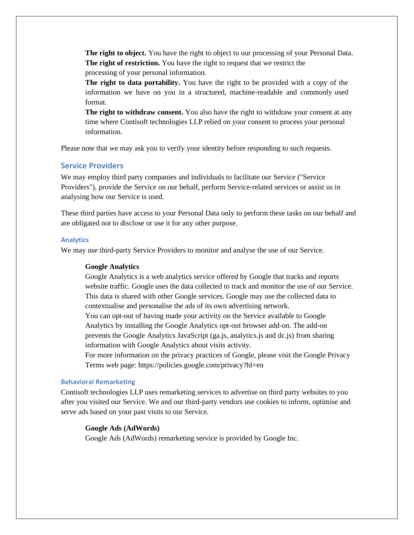**The right to object.** You have the right to object to our processing of your Personal Data. **The right of restriction.** You have the right to request that we restrict the processing of your personal information.

**The right to data portability.** You have the right to be provided with a copy of the information we have on you in a structured, machine-readable and commonly used format.

**The right to withdraw consent.** You also have the right to withdraw your consent at any time where Contisoft technologies LLP relied on your consent to process your personal information.

Please note that we may ask you to verify your identity before responding to such requests.

### **Service Providers**

We may employ third party companies and individuals to facilitate our Service ("Service Providers"), provide the Service on our behalf, perform Service-related services or assist us in analysing how our Service is used.

These third parties have access to your Personal Data only to perform these tasks on our behalf and are obligated not to disclose or use it for any other purpose.

#### **Analytics**

We may use third-party Service Providers to monitor and analyse the use of our Service.

#### **Google Analytics**

Google Analytics is a web analytics service offered by Google that tracks and reports website traffic. Google uses the data collected to track and monitor the use of our Service. This data is shared with other Google services. Google may use the collected data to contextualise and personalise the ads of its own advertising network.

You can opt-out of having made your activity on the Service available to Google Analytics by installing the Google Analytics opt-out browser add-on. The add-on prevents the Google Analytics JavaScript (ga.js, analytics.js and dc.js) from sharing information with Google Analytics about visits activity.

For more information on the privacy practices of Google, please visit the Google Privacy Terms web page:<https://policies.google.com/privacy?hl=en>

#### **Behavioral Remarketing**

Contisoft technologies LLP uses remarketing services to advertise on third party websites to you after you visited our Service. We and our third-party vendors use cookies to inform, optimise and serve ads based on your past visits to our Service.

### **Google Ads (AdWords)**

Google Ads (AdWords) remarketing service is provided by Google Inc.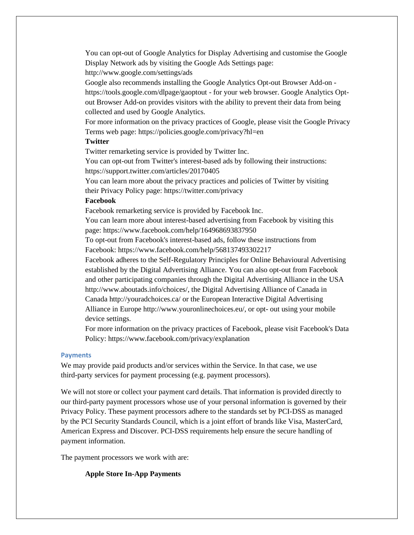You can opt-out of Google Analytics for Display Advertising and customise the Google Display Network ads by visiting the Google Ads Settings page:

<http://www.google.com/settings/ads>

Google also recommends installing the Google Analytics Opt-out Browser Add-on [https://tools.google.com/dlpage/gaoptout -](https://tools.google.com/dlpage/gaoptout) for your web browser. Google Analytics Optout Browser Add-on provides visitors with the ability to prevent their data from being collected and used by Google Analytics.

For more information on the privacy practices of Google, please visit the Google Privacy Terms web page:<https://policies.google.com/privacy?hl=en>

### **Twitter**

Twitter remarketing service is provided by Twitter Inc.

You can opt-out from Twitter's interest-based ads by following their instructions: <https://support.twitter.com/articles/20170405>

You can learn more about the privacy practices and policies of Twitter by visiting their Privacy Policy page:<https://twitter.com/privacy>

### **Facebook**

Facebook remarketing service is provided by Facebook Inc.

You can learn more about interest-based advertising from Facebook by visiting this page:<https://www.facebook.com/help/164968693837950>

To opt-out from Facebook's interest-based ads, follow these instructions from Facebook:<https://www.facebook.com/help/568137493302217>

Facebook adheres to the Self-Regulatory Principles for Online Behavioural Advertising established by the Digital Advertising Alliance. You can also opt-out from Facebook and other participating companies through the Digital Advertising Alliance in the USA [http://www.aboutads.info/choices/, t](http://www.aboutads.info/choices/)he Digital Advertising Alliance of Canada in Canada [http://youradchoices.ca/ o](http://youradchoices.ca/)r the European Interactive Digital Advertising Alliance in Europe [http://www.youronlinechoices.eu/, o](http://www.youronlinechoices.eu/)r opt- out using your mobile device settings.

For more information on the privacy practices of Facebook, please visit Facebook's Data Policy:<https://www.facebook.com/privacy/explanation>

#### **Payments**

We may provide paid products and/or services within the Service. In that case, we use third-party services for payment processing (e.g. payment processors).

We will not store or collect your payment card details. That information is provided directly to our third-party payment processors whose use of your personal information is governed by their Privacy Policy. These payment processors adhere to the standards set by PCI-DSS as managed by the PCI Security Standards Council, which is a joint effort of brands like Visa, MasterCard, American Express and Discover. PCI-DSS requirements help ensure the secure handling of payment information.

The payment processors we work with are:

#### **Apple Store In-App Payments**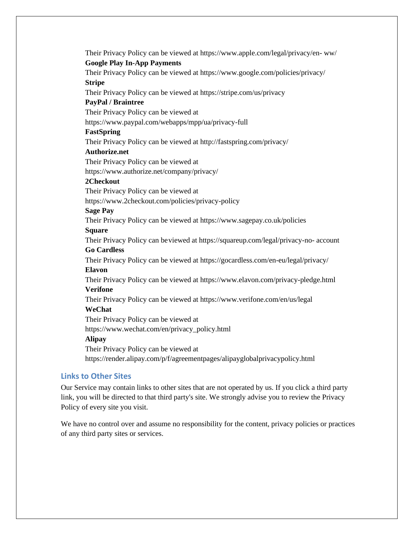Their Privacy Policy can be viewed at [https://www.apple.com/legal/privacy/en-](https://www.apple.com/legal/privacy/en-ww/) [ww/](https://www.apple.com/legal/privacy/en-ww/) **Google Play In-App Payments**

Their Privacy Policy can be viewed at<https://www.google.com/policies/privacy/> **Stripe**

Their Privacy Policy can be viewed at<https://stripe.com/us/privacy>

#### **PayPal / Braintree**

Their Privacy Policy can be viewed at

<https://www.paypal.com/webapps/mpp/ua/privacy-full>

#### **FastSpring**

Their Privacy Policy can be viewed at<http://fastspring.com/privacy/>

### **Authorize.net**

Their Privacy Policy can be viewed at

<https://www.authorize.net/company/privacy/>

### **2Checkout**

Their Privacy Policy can be viewed at

<https://www.2checkout.com/policies/privacy-policy>

### **Sage Pay**

Their Privacy Policy can be viewed at<https://www.sagepay.co.uk/policies>

### **Square**

Their Privacy Policy can beviewed at [https://squareup.com/legal/privacy-no-](https://squareup.com/legal/privacy-no-account) [account](https://squareup.com/legal/privacy-no-account)

### **Go Cardless**

Their Privacy Policy can be viewed at<https://gocardless.com/en-eu/legal/privacy/>

### **Elavon**

Their Privacy Policy can be viewed at<https://www.elavon.com/privacy-pledge.html> **Verifone**

Their Privacy Policy can be viewed at<https://www.verifone.com/en/us/legal> **WeChat**

Their Privacy Policy can be viewed at

[https://www.wechat.com/en/privacy\\_policy.html](https://www.wechat.com/en/privacy_policy.html)

### **Alipay**

Their Privacy Policy can be viewed at <https://render.alipay.com/p/f/agreementpages/alipayglobalprivacypolicy.html>

## **Links to Other Sites**

Our Service may contain links to other sites that are not operated by us. If you click a third party link, you will be directed to that third party's site. We strongly advise you to review the Privacy Policy of every site you visit.

We have no control over and assume no responsibility for the content, privacy policies or practices of any third party sites or services.